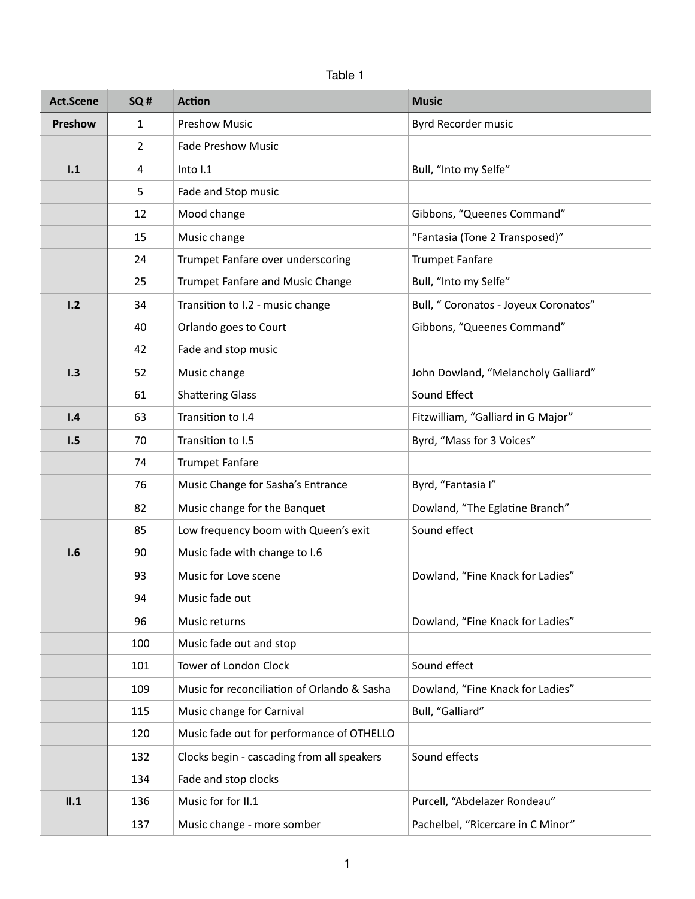| <b>Act.Scene</b> | SQ# | <b>Action</b>                               | <b>Music</b>                         |
|------------------|-----|---------------------------------------------|--------------------------------------|
| Preshow          | 1   | <b>Preshow Music</b>                        | Byrd Recorder music                  |
|                  | 2   | <b>Fade Preshow Music</b>                   |                                      |
| 1.1              | 4   | Into I.1                                    | Bull, "Into my Selfe"                |
|                  | 5   | Fade and Stop music                         |                                      |
|                  | 12  | Mood change                                 | Gibbons, "Queenes Command"           |
|                  | 15  | Music change                                | "Fantasia (Tone 2 Transposed)"       |
|                  | 24  | Trumpet Fanfare over underscoring           | <b>Trumpet Fanfare</b>               |
|                  | 25  | Trumpet Fanfare and Music Change            | Bull, "Into my Selfe"                |
| 1.2              | 34  | Transition to I.2 - music change            | Bull, "Coronatos - Joyeux Coronatos" |
|                  | 40  | Orlando goes to Court                       | Gibbons, "Queenes Command"           |
|                  | 42  | Fade and stop music                         |                                      |
| 1.3              | 52  | Music change                                | John Dowland, "Melancholy Galliard"  |
|                  | 61  | <b>Shattering Glass</b>                     | Sound Effect                         |
| 1.4              | 63  | Transition to I.4                           | Fitzwilliam, "Galliard in G Major"   |
| 1.5              | 70  | Transition to I.5                           | Byrd, "Mass for 3 Voices"            |
|                  | 74  | <b>Trumpet Fanfare</b>                      |                                      |
|                  | 76  | Music Change for Sasha's Entrance           | Byrd, "Fantasia I"                   |
|                  | 82  | Music change for the Banquet                | Dowland, "The Eglatine Branch"       |
|                  | 85  | Low frequency boom with Queen's exit        | Sound effect                         |
| 1.6              | 90  | Music fade with change to I.6               |                                      |
|                  | 93  | Music for Love scene                        | Dowland, "Fine Knack for Ladies"     |
|                  | 94  | Music fade out                              |                                      |
|                  | 96  | Music returns                               | Dowland, "Fine Knack for Ladies"     |
|                  | 100 | Music fade out and stop                     |                                      |
|                  | 101 | Tower of London Clock                       | Sound effect                         |
|                  | 109 | Music for reconciliation of Orlando & Sasha | Dowland, "Fine Knack for Ladies"     |
|                  | 115 | Music change for Carnival                   | Bull, "Galliard"                     |
|                  | 120 | Music fade out for performance of OTHELLO   |                                      |
|                  | 132 | Clocks begin - cascading from all speakers  | Sound effects                        |
|                  | 134 | Fade and stop clocks                        |                                      |
| II.1             | 136 | Music for for II.1                          | Purcell, "Abdelazer Rondeau"         |
|                  | 137 | Music change - more somber                  | Pachelbel, "Ricercare in C Minor"    |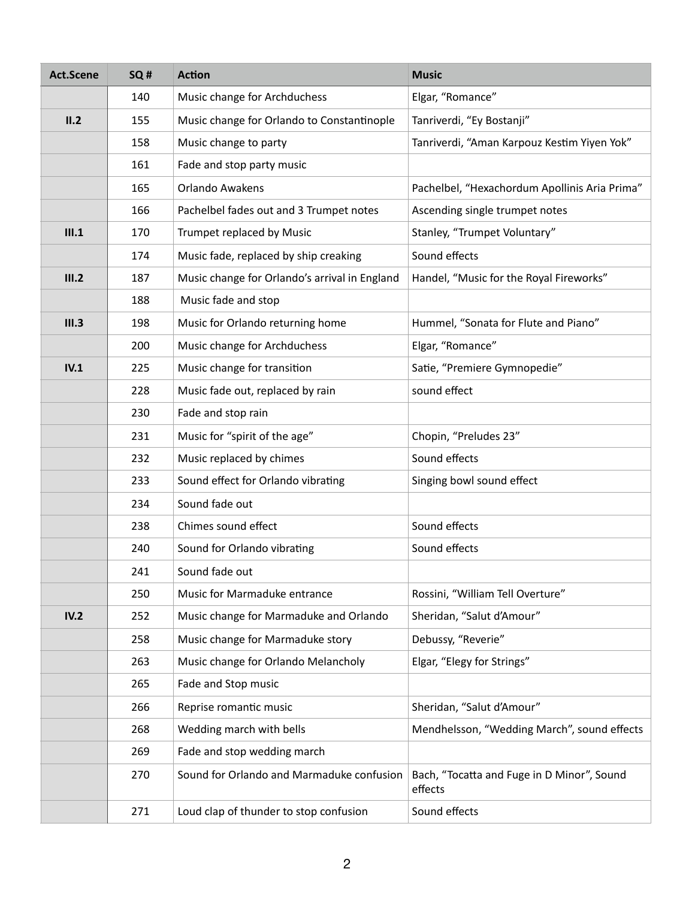| <b>Act.Scene</b> | SQ# | <b>Action</b>                                 | <b>Music</b>                                          |
|------------------|-----|-----------------------------------------------|-------------------------------------------------------|
|                  | 140 | Music change for Archduchess                  | Elgar, "Romance"                                      |
| II.2             | 155 | Music change for Orlando to Constantinople    | Tanriverdi, "Ey Bostanji"                             |
|                  | 158 | Music change to party                         | Tanriverdi, "Aman Karpouz Kestim Yiyen Yok"           |
|                  | 161 | Fade and stop party music                     |                                                       |
|                  | 165 | <b>Orlando Awakens</b>                        | Pachelbel, "Hexachordum Apollinis Aria Prima"         |
|                  | 166 | Pachelbel fades out and 3 Trumpet notes       | Ascending single trumpet notes                        |
| III.1            | 170 | Trumpet replaced by Music                     | Stanley, "Trumpet Voluntary"                          |
|                  | 174 | Music fade, replaced by ship creaking         | Sound effects                                         |
| III.2            | 187 | Music change for Orlando's arrival in England | Handel, "Music for the Royal Fireworks"               |
|                  | 188 | Music fade and stop                           |                                                       |
| III.3            | 198 | Music for Orlando returning home              | Hummel, "Sonata for Flute and Piano"                  |
|                  | 200 | Music change for Archduchess                  | Elgar, "Romance"                                      |
| IV.1             | 225 | Music change for transition                   | Satie, "Premiere Gymnopedie"                          |
|                  | 228 | Music fade out, replaced by rain              | sound effect                                          |
|                  | 230 | Fade and stop rain                            |                                                       |
|                  | 231 | Music for "spirit of the age"                 | Chopin, "Preludes 23"                                 |
|                  | 232 | Music replaced by chimes                      | Sound effects                                         |
|                  | 233 | Sound effect for Orlando vibrating            | Singing bowl sound effect                             |
|                  | 234 | Sound fade out                                |                                                       |
|                  | 238 | Chimes sound effect                           | Sound effects                                         |
|                  | 240 | Sound for Orlando vibrating                   | Sound effects                                         |
|                  | 241 | Sound fade out                                |                                                       |
|                  | 250 | Music for Marmaduke entrance                  | Rossini, "William Tell Overture"                      |
| IV.2             | 252 | Music change for Marmaduke and Orlando        | Sheridan, "Salut d'Amour"                             |
|                  | 258 | Music change for Marmaduke story              | Debussy, "Reverie"                                    |
|                  | 263 | Music change for Orlando Melancholy           | Elgar, "Elegy for Strings"                            |
|                  | 265 | Fade and Stop music                           |                                                       |
|                  | 266 | Reprise romantic music                        | Sheridan, "Salut d'Amour"                             |
|                  | 268 | Wedding march with bells                      | Mendhelsson, "Wedding March", sound effects           |
|                  | 269 | Fade and stop wedding march                   |                                                       |
|                  | 270 | Sound for Orlando and Marmaduke confusion     | Bach, "Tocatta and Fuge in D Minor", Sound<br>effects |
|                  | 271 | Loud clap of thunder to stop confusion        | Sound effects                                         |